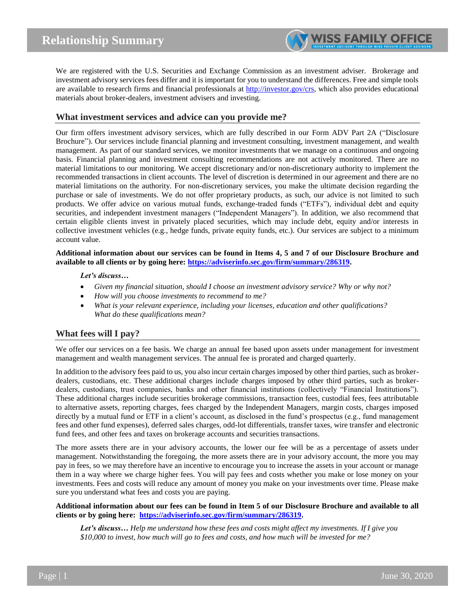We are registered with the U.S. Securities and Exchange Commission as an investment adviser. Brokerage and investment advisory services fees differ and it is important for you to understand the differences. Free and simple tools are available to research firms and financial professionals at [http://investor.gov/crs,](http://investor.gov/crs) which also provides educational materials about broker-dealers, investment advisers and investing.

## **What investment services and advice can you provide me?**

Our firm offers investment advisory services, which are fully described in our Form ADV Part 2A ("Disclosure Brochure"). Our services include financial planning and investment consulting, investment management, and wealth management. As part of our standard services, we monitor investments that we manage on a continuous and ongoing basis. Financial planning and investment consulting recommendations are not actively monitored. There are no material limitations to our monitoring. We accept discretionary and/or non-discretionary authority to implement the recommended transactions in client accounts. The level of discretion is determined in our agreement and there are no material limitations on the authority. For non-discretionary services, you make the ultimate decision regarding the purchase or sale of investments. We do not offer proprietary products, as such, our advice is not limited to such products. We offer advice on various mutual funds, exchange-traded funds ("ETFs"), individual debt and equity securities, and independent investment managers ("Independent Managers"). In addition, we also recommend that certain eligible clients invest in privately placed securities, which may include debt, equity and/or interests in collective investment vehicles (e.g., hedge funds, private equity funds, etc.). Our services are subject to a minimum account value.

**Additional information about our services can be found in Items 4, 5 and 7 of our Disclosure Brochure and available to all clients or by going here: [https://adviserinfo.sec.gov/firm/summary/286319.](https://adviserinfo.sec.gov/firm/summary/286319)**

*Let's discuss…*

- *Given my financial situation, should I choose an investment advisory service? Why or why not?*
- *How will you choose investments to recommend to me?*
- *What is your relevant experience, including your licenses, education and other qualifications? What do these qualifications mean?*

# **What fees will I pay?**

We offer our services on a fee basis. We charge an annual fee based upon assets under management for investment management and wealth management services. The annual fee is prorated and charged quarterly.

In addition to the advisory fees paid to us, you also incur certain charges imposed by other third parties, such as brokerdealers, custodians, etc. These additional charges include charges imposed by other third parties, such as brokerdealers, custodians, trust companies, banks and other financial institutions (collectively "Financial Institutions"). These additional charges include securities brokerage commissions, transaction fees, custodial fees, fees attributable to alternative assets, reporting charges, fees charged by the Independent Managers, margin costs, charges imposed directly by a mutual fund or ETF in a client's account, as disclosed in the fund's prospectus (e.g., fund management fees and other fund expenses), deferred sales charges, odd-lot differentials, transfer taxes, wire transfer and electronic fund fees, and other fees and taxes on brokerage accounts and securities transactions.

The more assets there are in your advisory accounts, the lower our fee will be as a percentage of assets under management. Notwithstanding the foregoing, the more assets there are in your advisory account, the more you may pay in fees, so we may therefore have an incentive to encourage you to increase the assets in your account or manage them in a way where we charge higher fees. You will pay fees and costs whether you make or lose money on your investments. Fees and costs will reduce any amount of money you make on your investments over time. Please make sure you understand what fees and costs you are paying.

### **Additional information about our fees can be found in Item 5 of our Disclosure Brochure and available to all clients or by going here: [https://adviserinfo.sec.gov/firm/summary/286319.](https://adviserinfo.sec.gov/firm/summary/286319)**

*Let's discuss… Help me understand how these fees and costs might affect my investments. If I give you \$10,000 to invest, how much will go to fees and costs, and how much will be invested for me?*